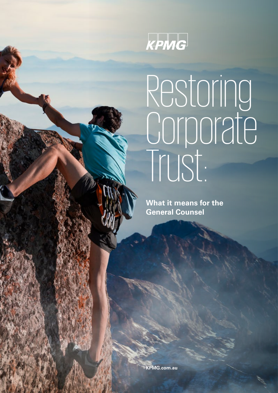

# Restoring riourn<sub>io</sub> Trust:

**What it means for the General Counsel**

**[KPMG.com.au](http://www.kpmg.com.au)**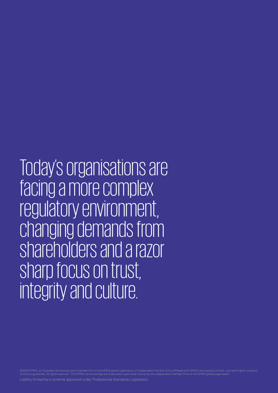Today's organisations are facing a more complex regulatory environment, changing demands from shareholders and a razor sharp focus on trust, integrity and culture.

©2020 KPMG, an Australian partnership and a member firm of the KPMG global organisation of independent member firms affiliated with KPMG International Limited, a private English company<br>limited by guarantee. All rights res Liability limited by a scheme approved under Professional Standards Legislation.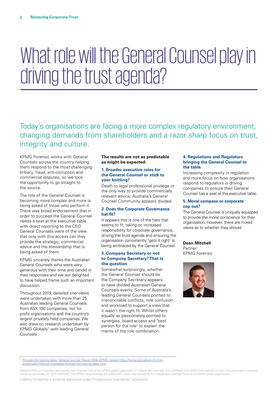## What role will the General Counsel play in driving the trust agenda?

Today's organisations are facing a more complex regulatory environment, changing demands from shareholders and a razor sharp focus on trust, integrity and culture.

KPMG Forensic works with General Counsels across the country helping them respond to the most challenging bribery, fraud, anti-corruption and commercial disputes, so we took the opportunity to go straight to the source.

The role of the General Counsel is becoming more complex and more is being asked of those who perform it. There was broad endorsement that in order to succeed the General Counsel needs a seat at the executive table with direct reporting to the CEO. General Counsels were of the view that only with this access can they provide the strategic, commercial advice and the stewardship that is being asked of them.

KPMG sincerely thanks the Australian General Counsels who were very generous with their time and candid in their responses and we are delighted to have helped frame such an important discussion.

Throughout 2019, detailed interviews were undertaken with more than 25 Australian leading General Counsels from ASX 100 companies, not for profit organisations and the country's largest privately held companies. We also drew on research undertaken by KPMG Globally<sup>1</sup> with leading General Counsels.

### **The results are not as predictable as might be expected:**

### **1. Broader executive roles for the General Counsel or stick to your knitting?**

Death to legal professional privilege or the only way to provide commercially relevant advice; Australia's General Counsel Community appears divided.

### **2. Does the Corporate Governance hat fit?**

It appears this is one of the hats that seems to fit, taking on increased responsibility for corporate governance, driving the trust agenda and ensuring the organisation consistently 'gets it right' is being embraced by the General Counsel.

### **3. Company Secretary or not to Company Secretary? That is the question**

Somewhat surprisingly, whether the General Counsel should be the Company Secretary appears to have divided Australian General Counsels evenly. Some of Australia's leading General Counsels pointed to irreconcilable conflicts, role confusion and workload to support a view that it wasn't the right fit. Whilst others equally as passionately pointed to synergies, board access and 'best person for the role' to explain the merits of the role combination.

### **4. Regulations and Regulators bringing the General Counsel to the table**

Increasing complexity in regulation and more focus on how organisations respond to regulators is driving companies to ensure their General Counsel has a seat at the executive table.

### **5. Moral compass or corporate cop out?**

The General Counsel is uniquely equipped to provide the moral conscience for their organisation, however, there are mixed views as to whether they should.

### **Dean Mitchell**

Partner KPMG Forensic



1 [Through the looking glass: General Counsel Report 2016 \(KPMG Global\) https://home.kpmg/be/en/home/](https://home.kpmg/be/en/home/insights/2017/03/risk-newsletter-through-the-looking-glass.html)

[insights/2017/03/risk-newsletter-through-the-looking-glass.html](https://home.kpmg/be/en/home/insights/2017/03/risk-newsletter-through-the-looking-glass.html)

©2020 KPMG, an Australian partnership and a member firm of the KPMG global organisation of independent member firms affiliated with KPMG International Limited, a private English company limited by guarantee. All rights reserved. The KPMG name and logo are trademarks used under license by the independent member firms of the KPMG global organisation.

Liability limited by a scheme approved under Professional Standards Legislation.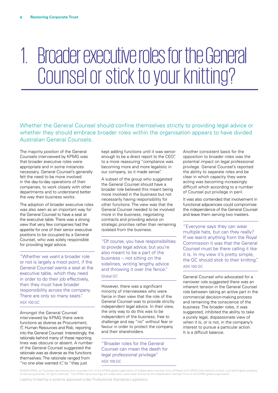## 1. Broader executive roles for the General Counsel or stick to your knitting?

Whether the General Counsel should confine themselves strictly to providing legal advice or whether they should embrace broader roles within the organisation appears to have divided Australian General Counsels.

The majority position of the General Counsels interviewed by KPMG was that broader executive roles were appropriate and in some instances necessary. General Counsel's generally felt the need to be more involved in the day-to-day operations of their companies, to work closely with other departments and to understand better the way their business works.

The adoption of broader executive roles was also seen as an important way for the General Counsel to have a seat at the executive table. There was a strong view that very few companies had the appetite for one of their senior executive positions to be occupied by a General Counsel, who was solely responsible for providing legal advice.

"Whether we want a broader role or not is largely a moot point, if the General Counsel wants a seat at the executive table, which they need in order to do their job effectively. then they must have broader responsibility across the company. There are only so many seats". ASX 100 GC

Amongst the General Counsel interviewed by KPMG there were functions as diverse as Procurement, IT, Human Resources and Risk, reporting into the General Counsel. Interestingly, the rationale behind many of these reporting lines was obscure or absent. A number of the General Counsel suggested the rationale was as diverse as the functions themselves. The rationale ranged from "no one else wanted it", to "they just

kept adding functions until it was senior enough to be a direct report to the CEO", to a more reassuring "compliance was becoming more and more legalistic in our company, so it made sense".

A subset of the group who suggested the General Counsel should have a broader role believed this meant being more involved in the business but not necessarily having responsibility for other functions. The view was that the General Counsel needed to be involved more in the business, negotiating contracts and providing advice on strategic priorities rather than remaining isolated from the business.

"Of course, you have responsibilities to provide legal advice, but you're also meant to be a part of the business – not sitting on the sidelines, writing lengthy advice and throwing it over the fence." Global GC

However, there was a significant minority of interviewees who were fierce in their view that the role of the General Counsel was to provide strictly independent legal advice. In their view, the only way to do this was to be independent of the business, free to challenge and say "no" without fear or favour in order to protect the company and their shareholders.

"Broader roles for the General Counsel can mean the death for legal professional privilege" ASX 100 GC

Another consistent basis for the opposition to broader roles was the potential impact on legal professional privilege. General Counsel's reported the ability to separate roles and be clear in which capacity they were acting was becoming increasingly difficult which according to a number of Counsel put privilege in peril.

It was also contended that involvement in functional adjacencies could compromise the independence of the General Counsel and leave them serving two masters.

"Everyone says they can wear multiple hats, but can they really? If we learnt anything from the Royal Commission it was that the General Counsel must be there calling it like it is. In my view it's pretty simple, the GC should stick to their knitting". ASX 100 GC

General Counsel who advocated for a narrower role suggested there was an inherent tension in the General Counsel role between taking an active part in the commercial decision-making process and remaining the conscience of the business. The broader roles, it was suggested, inhibited the ability to take a purely legal, dispassionate view of when it is, or is not, in the company's interest to pursue a particular action. It is a difficult balance.

©2020 KPMG, an Australian partnership and a member firm of the KPMG global organisation of independent member firms affiliated with KPMG International Limited, a private English company limited by guarantee. All rights reserved. The KPMG name and logo are trademarks used under license by the independent member firms of the KPMG global organisation.

Liability limited by a scheme approved under Professional Standards Legislation.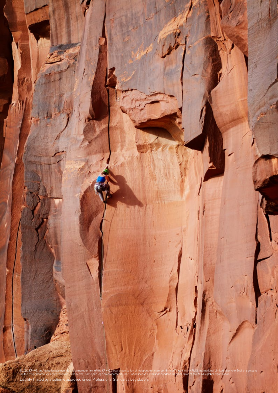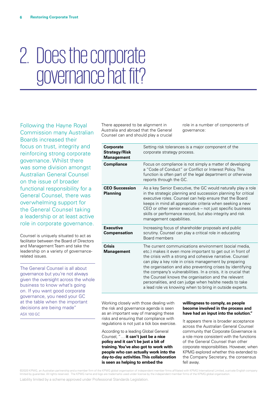## 2. Does the corporate governance hat fit?

Following the Hayne Royal Commission many Australian Boards increased their focus on trust, integrity and reinforcing strong corporate governance. Whilst there was some division amongst Australian General Counsel on the issue of broader functional responsibility for a General Counsel, there was overwhelming support for the General Counsel taking a leadership or at least active role in corporate governance.

Counsel is uniquely situated to act as facilitator between the Board of Directors and Management Team and take the leadership on a variety of governancerelated issues.

The General Counsel is all about governance but you're not always given the oversight across the whole business to know what's going on. If you want good corporate governance, you need your GC at the table when the important decisions are being made" ASX 100 GC

There appeared to be alignment in Australia and abroad that the General Counsel can and should play a crucial

role in a number of components of governance:

| <b>Corporate</b><br><b>Strategy/Risk</b><br><b>Management</b> | Setting risk tolerances is a major component of the<br>corporate strategy process.                                                                                                                                                                                                                                                                                                                                                                                                                                                                   |
|---------------------------------------------------------------|------------------------------------------------------------------------------------------------------------------------------------------------------------------------------------------------------------------------------------------------------------------------------------------------------------------------------------------------------------------------------------------------------------------------------------------------------------------------------------------------------------------------------------------------------|
| <b>Compliance</b>                                             | Focus on compliance is not simply a matter of developing<br>a "Code of Conduct" or Conflict or Interest Policy. This<br>function is often part of the legal department or otherwise<br>reports through the GC.                                                                                                                                                                                                                                                                                                                                       |
| <b>CEO Succession</b><br><b>Planning</b>                      | As a key Senior Executive, the GC would naturally play a role<br>in the strategic planning and succession planning for critical<br>executive roles. Counsel can help ensure that the Board<br>keeps in mind all appropriate criteria when seeking a new<br>CEO or other senior executive - not just specific business<br>skills or performance record, but also integrity and risk<br>management capabilities.                                                                                                                                       |
| <b>Executive</b><br>Compensation                              | Increasing focus of shareholder proposals and public<br>scrutiny. Counsel can play a critical role in educating<br>Board members                                                                                                                                                                                                                                                                                                                                                                                                                     |
| <b>Crisis</b><br><b>Management</b>                            | The current communications environment (social media,<br>etc.) makes it even more important to get out in front of<br>the crisis with a strong and cohesive narrative. Counsel<br>can play a key role in crisis management by preparing<br>the organisation and also preventing crises by identifying<br>the company's vulnerabilities. In a crisis, it is crucial that<br>the Counsel knows the organisation and the relevant<br>personalities, and can judge when he/she needs to take<br>a lead role vs knowing when to bring in outside experts. |

Working closely with those dealing with the risk and governance agenda is seen as an important way of managing these risks and ensuring that compliance with regulations is not just a tick box exercise.

According to a leading Global General Counsel, "… **it can't just be a nice policy and it can't be just a bit of training. You've also got to work with people who can actually work into the day-to-day activities. This collaboration is seen as helping to embed the** 

### **willingness to comply, as people become involved in the process and have had an input into the solution."**

It appears there is broader acceptance across the Australian General Counsel community that Corporate Governance is a role more consistent with the functions of the General Counsel than other corporate responsibilities. However, when KPMG explored whether this extended to the Company Secretary, the consensus fell away.

©2020 KPMG, an Australian partnership and a member firm of the KPMG global organisation of independent member firms affiliated with KPMG International Limited, a private English company limited by guarantee. All rights reserved. The KPMG name and logo are trademarks used under license by the independent member firms of the KPMG global organisation.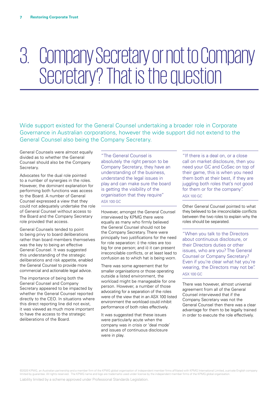### 3. Company Secretary or not to Company Secretary? That is the question

Wide support existed for the General Counsel undertaking a broader role in Corporate Governance in Australian corporations, however the wide support did not extend to the General Counsel also being the Company Secretary.

General Counsels were almost equally divided as to whether the General Counsel should also be the Company Secretary.

Advocates for the dual role pointed to a number of synergies in the roles. However, the dominant explanation for performing both functions was access to the Board. A number of General Counsel expressed a view that they could not adequately undertake the role of General Counsel without access to the Board and the Company Secretary role provided that access.

General Counsels tended to point to being privy to board deliberations rather than board members themselves was the key to being an effective General Counsel. It was suggested this understanding of the strategic deliberations and risk appetite, enabled the General Counsel to provide more commercial and actionable legal advice.

The importance of being both the General Counsel and Company Secretary appeared to be impacted by whether the General Counsel reported directly to the CEO. In situations where this direct reporting line did not exist, it was viewed as much more important to have the access to the strategic deliberations of the Board.

"The General Counsel is absolutely the right person to be Company Secretary, they have an understanding of the business, understand the legal issues in play and can make sure the board is getting the visibility of the organisation that they require" ASX 100 GC

However, amongst the General Counsel interviewed by KPMG there were equally as many who firmly believed the General Counsel should not be the Company Secretary. There were principally two justifications for the need for role separation: i) the roles are too big for one person; and ii) it can present irreconcilable conflicts, or at least lead to confusion as to which hat is being worn.

There was some agreement that for smaller organisations or those operating outside a listed environment, the workload might be manageable for one person. However, a number of those advocating for a separation of the roles were of the view that in an ASX 100 listed environment the workload could inhibit performance of both roles effectively.

It was suggested that these issues were particularly acute when the company was in crisis or 'deal mode' and issues of continuous disclosure were in play.

"If there is a deal on, or a close call on market disclosure, then you need your GC and CoSec on top of their game, this is when you need them both at their best, if they are juggling both roles that's not good for them or for the company". ASX 100 GC

Other General Counsel pointed to what they believed to be irreconcilable conflicts between the two roles to explain why the roles should be separated.

"When you talk to the Directors about continuous disclosure, or their Directors duties or other issues, who are you? The General Counsel or Company Secretary? Even if you're clear what hat you're wearing, the Directors may not be". ASX 100 GC

There was however, almost universal agreement from all of the General Counsel interviewed that if the Company Secretary was not the General Counsel then there was a clear advantage for them to be legally trained in order to execute the role effectively.

©2020 KPMG, an Australian partnership and a member firm of the KPMG global organisation of independent member firms affiliated with KPMG International Limited, a private English company limited by guarantee. All rights reserved. The KPMG name and logo are trademarks used under license by the independent member firms of the KPMG global organisation.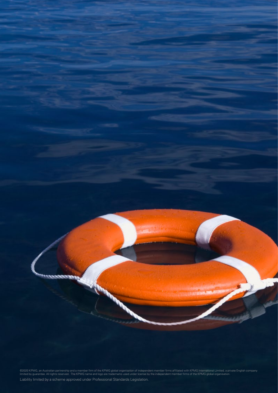

©2020 KPMG, an Australian partnership and a member firm of the KPMG global organisation of independent member firms affiliated with KPMG International Limited, a private English company<br>limited by guarantee. All rights res Liability limited by a scheme approved under Professional Standards Legislation.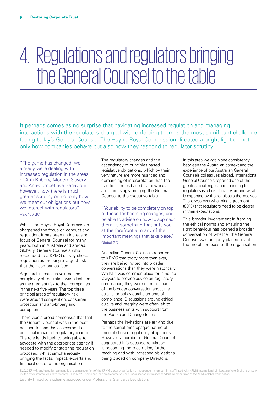### 4. Regulations and regulators bringing the General Counsel to the table

It perhaps comes as no surprise that navigating increased regulation and managing interactions with the regulators charged with enforcing them is the most significant challenge facing today's General Counsel. The Hayne Royal Commission directed a bright light on not only how companies behave but also how they respond to regulator scrutiny.

"The game has changed, we already were dealing with increased regulation in the areas of Anti-Bribery, Modern Slavery and Anti-Competitive Behaviour; however, now there is much greater scrutiny on not only how we meet our obligations but how we interact with regulators" ASX 100 GC

Whilst the Hayne Royal Commission sharpened the focus on conduct and regulation, it has been an increasing focus of General Counsel for many years, both in Australia and abroad. Globally, General Counsels who responded to a KPMG survey chose regulation as the single largest risk that their companies face.

A general increase in volume and complexity of regulation was identified as the greatest risk to their companies in the next five years. The top three principal areas of regulatory risk were around competition, consumer protection and anti-bribery and corruption.

There was a broad consensus that that the General Counsel was in the best position to lead this assessment of potential impact of regulatory change. The role lends itself to being able to advocate with the appropriate agency if needed to modify or stop the regulation proposed, whilst simultaneously bringing the facts, impact, experts and financial costs to the organisation.

The regulatory changes and the ascendency of principles based legislative obligations, which by their very nature are more nuanced and demanding of interpretation than the traditional rules based frameworks, are increasingly bringing the General Counsel to the executive table.

"Your ability to be completely on top of those forthcoming changes, and be able to advise on how to approach them, is something that puts you at the forefront at many of the important meetings that take place." Global GC

Australian General Counsels reported to KPMG that today more than ever, they are being invited into broader conversations than they were historically. Whilst it was common place for in house lawyers to provide advice on regulatory compliance, they were often not part of the broader conversation about the cultural or behavioural elements of compliance. Discussions around ethical culture and integrity were often left to the business units with support from the People and Change teams.

Perhaps the invitations are arriving due to the sometimes opaque nature of principle based regulatory obligations. However, a number of General Counsel suggested it is because regulation is becoming more complex, further reaching and with increased obligations being placed on company Directors.

In this area we again see consistency between the Australian context and the experience of our Australian General Counsels colleagues abroad. International General Counsels reported one of the greatest challenges in responding to regulators is a lack of clarity around what is expected by the regulators themselves. There was overwhelming agreement (80%) that regulators need to be clearer in their expectations.

This broader involvement in framing the ethical norms and ensuring the right behaviour has opened a broader conversation of whether the General Counsel was uniquely placed to act as the moral compass of the organisation.

©2020 KPMG, an Australian partnership and a member firm of the KPMG global organisation of independent member firms affiliated with KPMG International Limited, a private English company limited by guarantee. All rights reserved. The KPMG name and logo are trademarks used under license by the independent member firms of the KPMG global organisation.

Liability limited by a scheme approved under Professional Standards Legislation.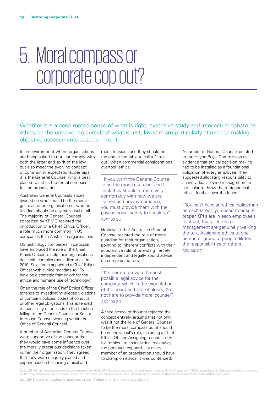### 5. Moral compass or corporate cop out?

Whether it is a deep rooted sense of what is right, extensive study and intellectual debate on ethics, or the unwavering pursuit of what is just, lawyers are particularly attuned to making objective assessments based on merit.

In an environment where organisations are being asked to not just comply with both the letter and spirit of the law, but also meet the evolving concept of community expectations, perhaps it is the General Counsel who is best placed to act as the moral compass for the organisation.

Australian General Counsels appear divided on who should be the moral guardian of an organisation or whether it in fact should be any individual at all. The majority of General Counsel consulted by KPMG resisted the introduction of a Chief Ethics Officer, a role much more common in US companies than Australian organisations.

US technology companies in particular have embraced the role of the Chief Ethics Officer to help their organisations deal with complex moral dilemmas. In 2019, Salesforce appointed a Chief Ethics Officer with a wide mandate to "To develop a strategic framework for the ethical and humane use of technology."

Often the role of the Chief Ethics Officer extends to investigating alleged violations of company polices, codes of conduct or other legal obligations. This extended responsibility often leads to the function falling to the General Counsel or Senior In House Counsel working within the Office of General Counsel.

A number of Australian General Counsel were supportive of the concept that they would have some influence over the morally precarious decisions taken within their organisation. They agreed that they were uniquely placed and experienced in balancing ethical and

moral tensions and they should be the one at the table to call a "time out" when commercial considerations overtook ethics.

"If you want the General Counsel to be the moral guardian, and I think they should, it rests very comfortably with how we are trained and how we practice; you must provide them with the psychological safety to speak up" ASX 100 GC

However, other Australian General Counsel resisted the role of moral guardian for their organisation, pointing to inherent conflicts with their substantive role of providing fiercely independent and legally sound advice on complex matters.

"I'm here to provide the best possible legal advice for the company, which is the expectation of the board and shareholders; I'm not here to provide moral counsel". ASX 100 GC

A third school of thought rejected the concept entirely, arguing that not only was it not the role of General Counsel to be the moral compass but it should be no individual's role, including a Chief Ethics Officer. Assigning responsibility for "ethics" to an individual took away the personal responsibility every member of an organisation should have to champion ethics, it was contended.

A number of General Counsel pointed to the Hayne Royal Commission as evidence that ethical decision making had to be installed as a foundational obligation of every employee. They suggested allocating responsibility to an individual allowed management in particular to throw the metaphorical ethical football over the fence.

"You can't have an ethical policeman on each street, you need to ensure proper KPI's are in each employee's contract, that all levels of management are genuinely walking the talk. Assigning ethics to one person or group of people dilutes the responsibilities of others". ASX 100 GC

©2020 KPMG, an Australian partnership and a member firm of the KPMG global organisation of independent member firms affiliated with KPMG International Limited, a private English company limited by guarantee. All rights reserved. The KPMG name and logo are trademarks used under license by the independent member firms of the KPMG global organisation.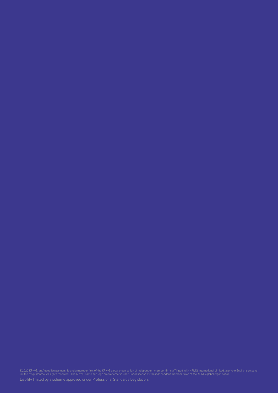©2020 KPMG, an Australian partnership and a member firm of the KPMG global organisation of independent member firms affiliated with KPMG International Limited, a private English company<br>limited by guarantee. All rights res